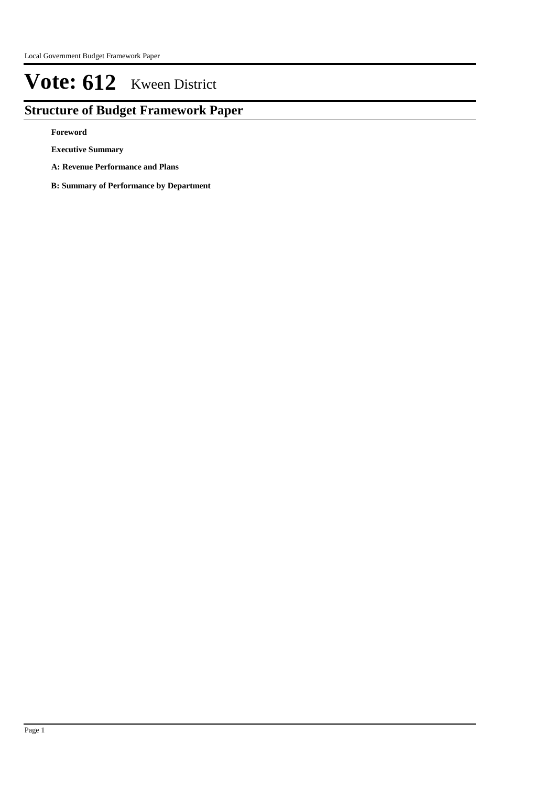# **Structure of Budget Framework Paper**

**Foreword**

**Executive Summary**

**A: Revenue Performance and Plans**

**B: Summary of Performance by Department**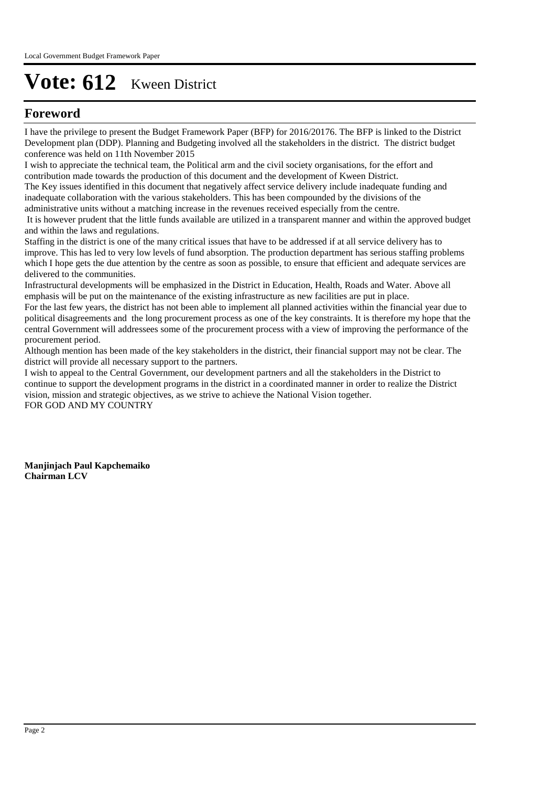# **Foreword**

I have the privilege to present the Budget Framework Paper (BFP) for 2016/20176. The BFP is linked to the District Development plan (DDP). Planning and Budgeting involved all the stakeholders in the district. The district budget conference was held on 11th November 2015

I wish to appreciate the technical team, the Political arm and the civil society organisations, for the effort and contribution made towards the production of this document and the development of Kween District.

The Key issues identified in this document that negatively affect service delivery include inadequate funding and inadequate collaboration with the various stakeholders. This has been compounded by the divisions of the administrative units without a matching increase in the revenues received especially from the centre.

 It is however prudent that the little funds available are utilized in a transparent manner and within the approved budget and within the laws and regulations.

Staffing in the district is one of the many critical issues that have to be addressed if at all service delivery has to improve. This has led to very low levels of fund absorption. The production department has serious staffing problems which I hope gets the due attention by the centre as soon as possible, to ensure that efficient and adequate services are delivered to the communities.

Infrastructural developments will be emphasized in the District in Education, Health, Roads and Water. Above all emphasis will be put on the maintenance of the existing infrastructure as new facilities are put in place.

For the last few years, the district has not been able to implement all planned activities within the financial year due to political disagreements and the long procurement process as one of the key constraints. It is therefore my hope that the central Government will addressees some of the procurement process with a view of improving the performance of the procurement period.

Although mention has been made of the key stakeholders in the district, their financial support may not be clear. The district will provide all necessary support to the partners.

I wish to appeal to the Central Government, our development partners and all the stakeholders in the District to continue to support the development programs in the district in a coordinated manner in order to realize the District vision, mission and strategic objectives, as we strive to achieve the National Vision together. FOR GOD AND MY COUNTRY

**Manjinjach Paul Kapchemaiko Chairman LCV**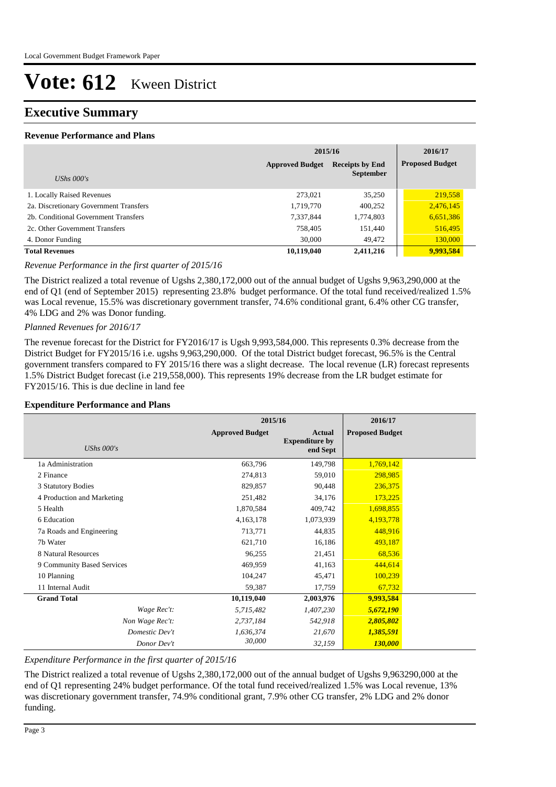# **Executive Summary**

#### **Revenue Performance and Plans**

|                                        | 2015/16                | 2016/17                                    |                        |
|----------------------------------------|------------------------|--------------------------------------------|------------------------|
|                                        | <b>Approved Budget</b> | <b>Receipts by End</b><br><b>September</b> | <b>Proposed Budget</b> |
| UShs $000's$                           |                        |                                            |                        |
| 1. Locally Raised Revenues             | 273,021                | 35,250                                     | 219,558                |
| 2a. Discretionary Government Transfers | 1,719,770              | 400,252                                    | 2,476,145              |
| 2b. Conditional Government Transfers   | 7,337,844              | 1,774,803                                  | 6,651,386              |
| 2c. Other Government Transfers         | 758,405                | 151,440                                    | 516,495                |
| 4. Donor Funding                       | 30,000                 | 49,472                                     | 130,000                |
| <b>Total Revenues</b>                  | 10,119,040             | 2,411,216                                  | 9,993,584              |

## *Revenue Performance in the first quarter of 2015/16*

The District realized a total revenue of Ugshs 2,380,172,000 out of the annual budget of Ugshs 9,963,290,000 at the end of Q1 (end of September 2015) representing 23.8% budget performance. Of the total fund received/realized 1.5% was Local revenue, 15.5% was discretionary government transfer, 74.6% conditional grant, 6.4% other CG transfer, 4% LDG and 2% was Donor funding.

#### *Planned Revenues for 2016/17*

The revenue forecast for the District for FY2016/17 is Ugsh 9,993,584,000. This represents 0.3% decrease from the District Budget for FY2015/16 i.e. ugshs 9,963,290,000. Of the total District budget forecast, 96.5% is the Central government transfers compared to FY 2015/16 there was a slight decrease. The local revenue (LR) forecast represents 1.5% District Budget forecast (i.e 219,558,000). This represents 19% decrease from the LR budget estimate for FY2015/16. This is due decline in land fee

#### **Expenditure Performance and Plans**

|                            | 2015/16                |                                                    | 2016/17                |  |
|----------------------------|------------------------|----------------------------------------------------|------------------------|--|
| <b>UShs 000's</b>          | <b>Approved Budget</b> | <b>Actual</b><br><b>Expenditure by</b><br>end Sept | <b>Proposed Budget</b> |  |
| 1a Administration          | 663,796                | 149,798                                            | 1,769,142              |  |
| 2 Finance                  | 274,813                | 59,010                                             | 298,985                |  |
| 3 Statutory Bodies         | 829,857                | 90,448                                             | 236,375                |  |
| 4 Production and Marketing | 251,482                | 34,176                                             | 173,225                |  |
| 5 Health                   | 1,870,584              | 409,742                                            | 1,698,855              |  |
| 6 Education                | 4,163,178              | 1,073,939                                          | 4,193,778              |  |
| 7a Roads and Engineering   | 713,771                | 44,835                                             | 448,916                |  |
| 7b Water                   | 621,710                | 16,186                                             | 493,187                |  |
| 8 Natural Resources        | 96,255                 | 21,451                                             | 68,536                 |  |
| 9 Community Based Services | 469,959                | 41,163                                             | 444,614                |  |
| 10 Planning                | 104,247                | 45,471                                             | 100,239                |  |
| 11 Internal Audit          | 59,387                 | 17,759                                             | 67,732                 |  |
| <b>Grand Total</b>         | 10,119,040             | 2,003,976                                          | 9,993,584              |  |
| Wage Rec't:                | 5,715,482              | 1,407,230                                          | 5,672,190              |  |
| Non Wage Rec't:            | 2,737,184              | 542,918                                            | 2,805,802              |  |
| Domestic Dev't             | 1,636,374              | 21,670                                             | 1,385,591              |  |
| Donor Dev't                | 30,000                 | 32,159                                             | 130,000                |  |

## *Expenditure Performance in the first quarter of 2015/16*

The District realized a total revenue of Ugshs 2,380,172,000 out of the annual budget of Ugshs 9,963290,000 at the end of Q1 representing 24% budget performance. Of the total fund received/realized 1.5% was Local revenue, 13% was discretionary government transfer, 74.9% conditional grant, 7.9% other CG transfer, 2% LDG and 2% donor funding.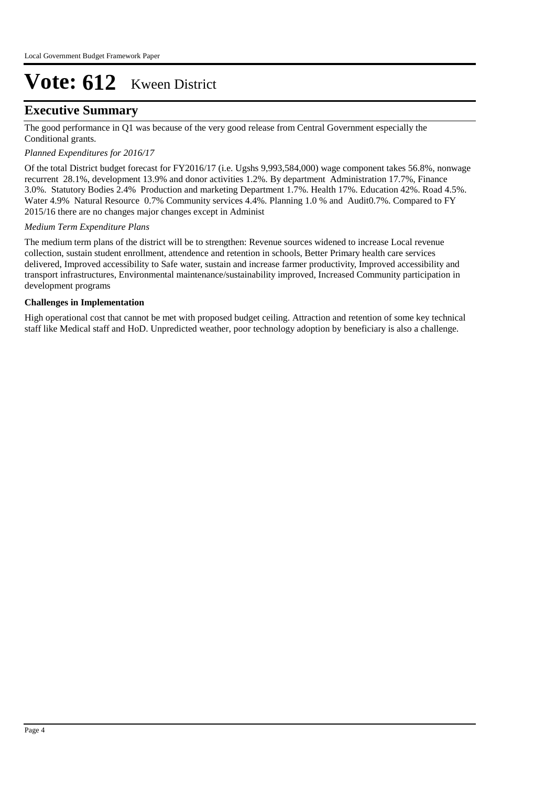# **Executive Summary**

The good performance in Q1 was because of the very good release from Central Government especially the Conditional grants.

## *Planned Expenditures for 2016/17*

Of the total District budget forecast for FY2016/17 (i.e. Ugshs 9,993,584,000) wage component takes 56.8%, nonwage recurrent 28.1%, development 13.9% and donor activities 1.2%. By department Administration 17.7%, Finance 3.0%. Statutory Bodies 2.4% Production and marketing Department 1.7%. Health 17%. Education 42%. Road 4.5%. Water 4.9% Natural Resource 0.7% Community services 4.4%. Planning 1.0 % and Audit0.7%. Compared to FY 2015/16 there are no changes major changes except in Administ

## *Medium Term Expenditure Plans*

The medium term plans of the district will be to strengthen: Revenue sources widened to increase Local revenue collection, sustain student enrollment, attendence and retention in schools, Better Primary health care services delivered, Improved accessibility to Safe water, sustain and increase farmer productivity, Improved accessibility and transport infrastructures, Environmental maintenance/sustainability improved, Increased Community participation in development programs

## **Challenges in Implementation**

High operational cost that cannot be met with proposed budget ceiling. Attraction and retention of some key technical staff like Medical staff and HoD. Unpredicted weather, poor technology adoption by beneficiary is also a challenge.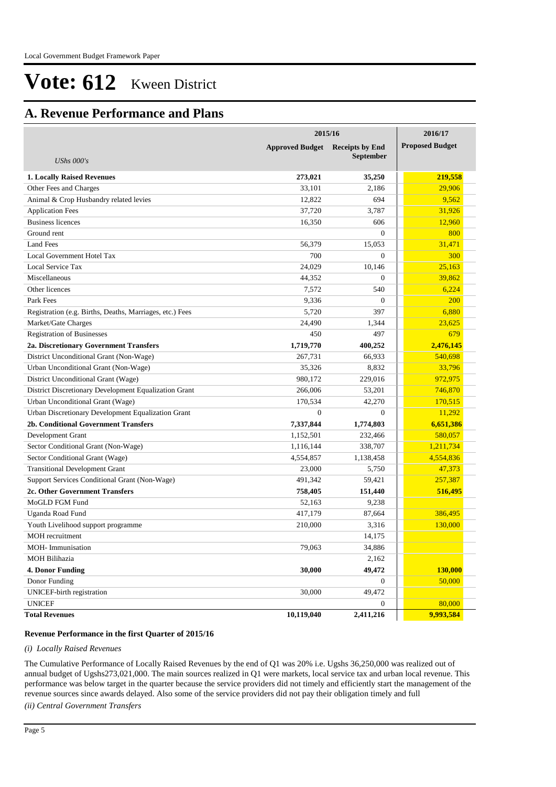# **A. Revenue Performance and Plans**

|                                                          | 2015/16                | 2016/17                |                        |
|----------------------------------------------------------|------------------------|------------------------|------------------------|
|                                                          | <b>Approved Budget</b> | <b>Receipts by End</b> | <b>Proposed Budget</b> |
| UShs $000's$                                             |                        | <b>September</b>       |                        |
|                                                          |                        |                        |                        |
| <b>1. Locally Raised Revenues</b>                        | 273,021                | 35,250                 | 219,558                |
| Other Fees and Charges                                   | 33,101                 | 2,186                  | 29,906                 |
| Animal & Crop Husbandry related levies                   | 12,822                 | 694                    | 9,562                  |
| <b>Application Fees</b>                                  | 37,720                 | 3,787                  | 31,926                 |
| <b>Business licences</b>                                 | 16,350                 | 606                    | 12,960                 |
| Ground rent                                              |                        | 0                      | 800                    |
| <b>Land Fees</b>                                         | 56,379                 | 15,053                 | 31,471                 |
| Local Government Hotel Tax                               | 700                    | 0                      | 300                    |
| Local Service Tax                                        | 24,029                 | 10,146                 | 25,163                 |
| Miscellaneous                                            | 44,352                 | 0                      | 39,862                 |
| Other licences                                           | 7,572                  | 540                    | 6,224                  |
| Park Fees                                                | 9,336                  | $\Omega$               | 200                    |
| Registration (e.g. Births, Deaths, Marriages, etc.) Fees | 5,720                  | 397                    | 6,880                  |
| Market/Gate Charges                                      | 24,490                 | 1,344                  | 23,625                 |
| <b>Registration of Businesses</b>                        | 450                    | 497                    | 679                    |
| 2a. Discretionary Government Transfers                   | 1,719,770              | 400,252                | 2,476,145              |
| District Unconditional Grant (Non-Wage)                  | 267,731                | 66,933                 | 540,698                |
| Urban Unconditional Grant (Non-Wage)                     | 35,326                 | 8,832                  | 33,796                 |
| District Unconditional Grant (Wage)                      | 980,172                | 229,016                | 972,975                |
| District Discretionary Development Equalization Grant    | 266,006                | 53,201                 | 746,870                |
| Urban Unconditional Grant (Wage)                         | 170,534                | 42,270                 | 170,515                |
| Urban Discretionary Development Equalization Grant       | $\Omega$               | $\Omega$               | 11,292                 |
| 2b. Conditional Government Transfers                     | 7,337,844              | 1,774,803              | 6,651,386              |
| Development Grant                                        | 1,152,501              | 232,466                | 580,057                |
| Sector Conditional Grant (Non-Wage)                      | 1,116,144              | 338,707                | 1,211,734              |
| Sector Conditional Grant (Wage)                          | 4,554,857              | 1,138,458              | 4,554,836              |
| <b>Transitional Development Grant</b>                    | 23,000                 | 5,750                  | 47,373                 |
| Support Services Conditional Grant (Non-Wage)            | 491,342                | 59,421                 | 257,387                |
| 2c. Other Government Transfers                           | 758,405                | 151,440                | 516,495                |
| MoGLD FGM Fund                                           | 52,163                 | 9,238                  |                        |
| Uganda Road Fund                                         | 417,179                | 87,664                 | 386,495                |
| Youth Livelihood support programme                       | 210,000                | 3,316                  | 130,000                |
| <b>MOH</b> recruitment                                   |                        | 14,175                 |                        |
| MOH- Immunisation                                        | 79,063                 | 34,886                 |                        |
| <b>MOH Bilihazia</b>                                     |                        | 2,162                  |                        |
| 4. Donor Funding                                         | 30,000                 | 49,472                 | 130,000                |
| Donor Funding                                            |                        | 0                      | 50,000                 |
| UNICEF-birth registration                                | 30,000                 | 49,472                 |                        |
| <b>UNICEF</b>                                            |                        | 0                      | 80,000                 |
| <b>Total Revenues</b>                                    | 10,119,040             | 2,411,216              | 9,993,584              |

#### **Revenue Performance in the first Quarter of 2015/16**

#### *(i) Locally Raised Revenues*

*(ii) Central Government Transfers* The Cumulative Performance of Locally Raised Revenues by the end of Q1 was 20% i.e. Ugshs 36,250,000 was realized out of annual budget of Ugshs273,021,000. The main sources realized in Q1 were markets, local service tax and urban local revenue. This performance was below target in the quarter because the service providers did not timely and efficiently start the management of the revenue sources since awards delayed. Also some of the service providers did not pay their obligation timely and full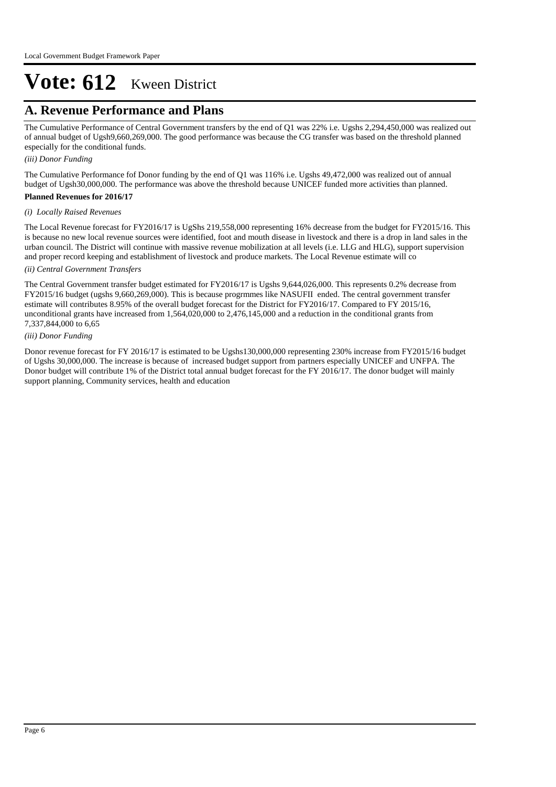# **A. Revenue Performance and Plans**

The Cumulative Performance of Central Government transfers by the end of Q1 was 22% i.e. Ugshs 2,294,450,000 was realized out of annual budget of Ugsh9,660,269,000. The good performance was because the CG transfer was based on the threshold planned especially for the conditional funds.

# *(iii) Donor Funding*

The Cumulative Performance fof Donor funding by the end of Q1 was 116% i.e. Ugshs 49,472,000 was realized out of annual budget of Ugsh30,000,000. The performance was above the threshold because UNICEF funded more activities than planned.

# **Planned Revenues for 2016/17**

# *(i) Locally Raised Revenues*

The Local Revenue forecast for FY2016/17 is UgShs 219,558,000 representing 16% decrease from the budget for FY2015/16. This is because no new local revenue sources were identified, foot and mouth disease in livestock and there is a drop in land sales in the urban council. The District will continue with massive revenue mobilization at all levels (i.e. LLG and HLG), support supervision and proper record keeping and establishment of livestock and produce markets. The Local Revenue estimate will co

# *(ii) Central Government Transfers*

The Central Government transfer budget estimated for FY2016/17 is Ugshs 9,644,026,000. This represents 0.2% decrease from FY2015/16 budget (ugshs 9,660,269,000). This is because progrmmes like NASUFII ended. The central government transfer estimate will contributes 8.95% of the overall budget forecast for the District for FY2016/17. Compared to FY 2015/16, unconditional grants have increased from 1,564,020,000 to 2,476,145,000 and a reduction in the conditional grants from 7,337,844,000 to 6,65

# *(iii) Donor Funding*

Donor revenue forecast for FY 2016/17 is estimated to be Ugshs130,000,000 representing 230% increase from FY2015/16 budget of Ugshs 30,000,000. The increase is because of increased budget support from partners especially UNICEF and UNFPA. The Donor budget will contribute 1% of the District total annual budget forecast for the FY 2016/17. The donor budget will mainly support planning, Community services, health and education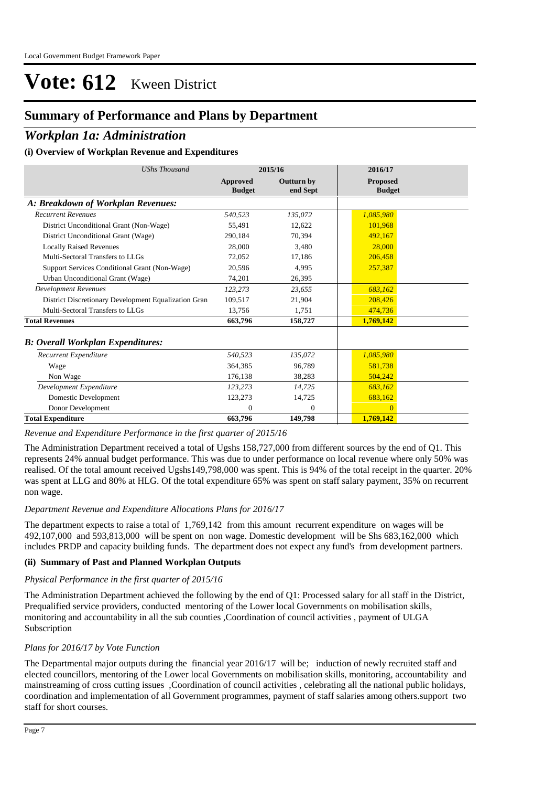# **Summary of Performance and Plans by Department**

# *Workplan 1a: Administration*

## **(i) Overview of Workplan Revenue and Expenditures**

| <b>UShs Thousand</b>                                 |                                  | 2015/16                       | 2016/17                          |
|------------------------------------------------------|----------------------------------|-------------------------------|----------------------------------|
|                                                      | <b>Approved</b><br><b>Budget</b> | <b>Outturn by</b><br>end Sept | <b>Proposed</b><br><b>Budget</b> |
| A: Breakdown of Workplan Revenues:                   |                                  |                               |                                  |
| <b>Recurrent Revenues</b>                            | 540,523                          | 135,072                       | 1,085,980                        |
| District Unconditional Grant (Non-Wage)              | 55,491                           | 12,622                        | 101.968                          |
| District Unconditional Grant (Wage)                  | 290,184                          | 70,394                        | 492.167                          |
| <b>Locally Raised Revenues</b>                       | 28,000                           | 3,480                         | 28,000                           |
| Multi-Sectoral Transfers to LLGs                     | 72,052                           | 17,186                        | 206,458                          |
| Support Services Conditional Grant (Non-Wage)        | 20.596                           | 4,995                         | 257,387                          |
| Urban Unconditional Grant (Wage)                     | 74,201                           | 26,395                        |                                  |
| <b>Development Revenues</b>                          | 123,273                          | 23,655                        | 683,162                          |
| District Discretionary Development Equalization Gran | 109,517                          | 21,904                        | 208,426                          |
| Multi-Sectoral Transfers to LLGs                     | 13,756                           | 1,751                         | 474,736                          |
| <b>Total Revenues</b>                                | 663,796                          | 158,727                       | 1,769,142                        |
| <b>B: Overall Workplan Expenditures:</b>             |                                  |                               |                                  |
| Recurrent Expenditure                                | 540,523                          | 135,072                       | 1,085,980                        |
| Wage                                                 | 364,385                          | 96,789                        | 581.738                          |
| Non Wage                                             | 176.138                          | 38,283                        | 504,242                          |
| Development Expenditure                              | 123,273                          | 14,725                        | 683,162                          |
| Domestic Development                                 | 123,273                          | 14,725                        | 683,162                          |
| Donor Development                                    | $\Omega$                         | $\mathbf{0}$                  | $\overline{0}$                   |
| <b>Total Expenditure</b>                             | 663,796                          | 149,798                       | 1,769,142                        |

*Revenue and Expenditure Performance in the first quarter of 2015/16*

The Administration Department received a total of Ugshs 158,727,000 from different sources by the end of Q1. This represents 24% annual budget performance. This was due to under performance on local revenue where only 50% was realised. Of the total amount received Ugshs149,798,000 was spent. This is 94% of the total receipt in the quarter. 20% was spent at LLG and 80% at HLG. Of the total expenditure 65% was spent on staff salary payment, 35% on recurrent non wage.

## *Department Revenue and Expenditure Allocations Plans for 2016/17*

The department expects to raise a total of 1,769,142 from this amount recurrent expenditure on wages will be 492,107,000 and 593,813,000 will be spent on non wage. Domestic development will be Shs 683,162,000 which includes PRDP and capacity building funds. The department does not expect any fund's from development partners.

## **(ii) Summary of Past and Planned Workplan Outputs**

## *Physical Performance in the first quarter of 2015/16*

The Administration Department achieved the following by the end of Q1: Processed salary for all staff in the District, Prequalified service providers, conducted mentoring of the Lower local Governments on mobilisation skills, monitoring and accountability in all the sub counties ,Coordination of council activities , payment of ULGA Subscription

## *Plans for 2016/17 by Vote Function*

The Departmental major outputs during the financial year 2016/17 will be; induction of newly recruited staff and elected councillors, mentoring of the Lower local Governments on mobilisation skills, monitoring, accountability and mainstreaming of cross cutting issues ,Coordination of council activities , celebrating all the national public holidays, coordination and implementation of all Government programmes, payment of staff salaries among others.support two staff for short courses.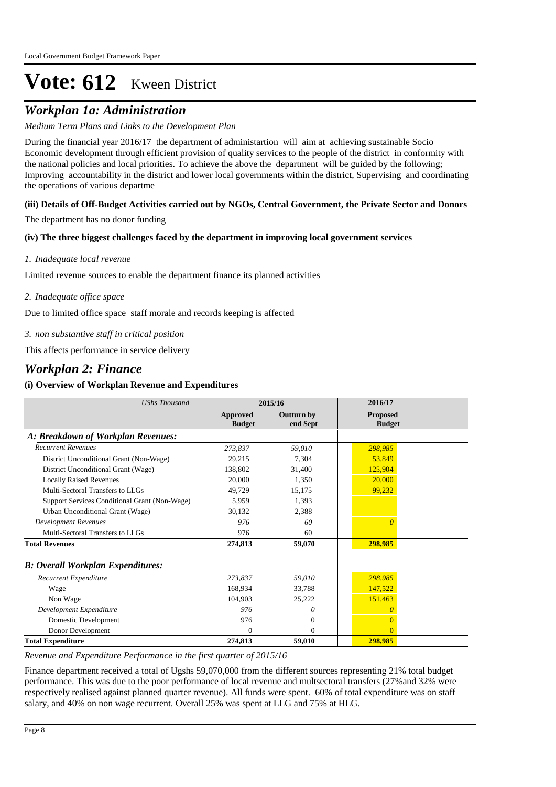# *Workplan 1a: Administration*

# *Medium Term Plans and Links to the Development Plan*

During the financial year 2016/17 the department of administartion will aim at achieving sustainable Socio Economic development through efficient provision of quality services to the people of the district in conformity with the national policies and local priorities. To achieve the above the department will be guided by the following; Improving accountability in the district and lower local governments within the district, Supervising and coordinating the operations of various departme

# **(iii) Details of Off-Budget Activities carried out by NGOs, Central Government, the Private Sector and Donors**

The department has no donor funding

# **(iv) The three biggest challenges faced by the department in improving local government services**

# *Inadequate local revenue 1.*

Limited revenue sources to enable the department finance its planned activities

*Inadequate office space 2.*

Due to limited office space staff morale and records keeping is affected

# *non substantive staff in critical position 3.*

This affects performance in service delivery

# *Workplan 2: Finance*

# **(i) Overview of Workplan Revenue and Expenditures**

| <b>UShs Thousand</b>                          |                                  | 2015/16                | 2016/17                          |  |
|-----------------------------------------------|----------------------------------|------------------------|----------------------------------|--|
|                                               | <b>Approved</b><br><b>Budget</b> | Outturn by<br>end Sept | <b>Proposed</b><br><b>Budget</b> |  |
| A: Breakdown of Workplan Revenues:            |                                  |                        |                                  |  |
| <b>Recurrent Revenues</b>                     | 273.837                          | 59,010                 | 298,985                          |  |
| District Unconditional Grant (Non-Wage)       | 29,215                           | 7.304                  | 53.849                           |  |
| District Unconditional Grant (Wage)           | 138,802                          | 31,400                 | 125,904                          |  |
| <b>Locally Raised Revenues</b>                | 20,000                           | 1.350                  | 20,000                           |  |
| Multi-Sectoral Transfers to LLGs              | 49.729                           | 15,175                 | 99,232                           |  |
| Support Services Conditional Grant (Non-Wage) | 5,959                            | 1,393                  |                                  |  |
| Urban Unconditional Grant (Wage)              | 30,132                           | 2,388                  |                                  |  |
| <b>Development Revenues</b>                   | 976                              | 60                     | $\theta$                         |  |
| Multi-Sectoral Transfers to LLGs              | 976                              | 60                     |                                  |  |
| <b>Total Revenues</b>                         | 274,813                          | 59,070                 | 298,985                          |  |
| <b>B: Overall Workplan Expenditures:</b>      |                                  |                        |                                  |  |
| Recurrent Expenditure                         | 273,837                          | 59,010                 | 298,985                          |  |
| Wage                                          | 168,934                          | 33,788                 | 147,522                          |  |
| Non Wage                                      | 104.903                          | 25,222                 | 151,463                          |  |
| Development Expenditure                       | 976                              | $\theta$               | $\theta$                         |  |
| Domestic Development                          | 976                              | $\mathbf{0}$           | $\Omega$                         |  |
| Donor Development                             | $\Omega$                         | $\Omega$               | $\Omega$                         |  |
| <b>Total Expenditure</b>                      | 274,813                          | 59,010                 | 298.985                          |  |

*Revenue and Expenditure Performance in the first quarter of 2015/16*

Finance department received a total of Ugshs 59,070,000 from the different sources representing 21% total budget performance. This was due to the poor performance of local revenue and multsectoral transfers (27%and 32% were respectively realised against planned quarter revenue). All funds were spent. 60% of total expenditure was on staff salary, and 40% on non wage recurrent. Overall 25% was spent at LLG and 75% at HLG.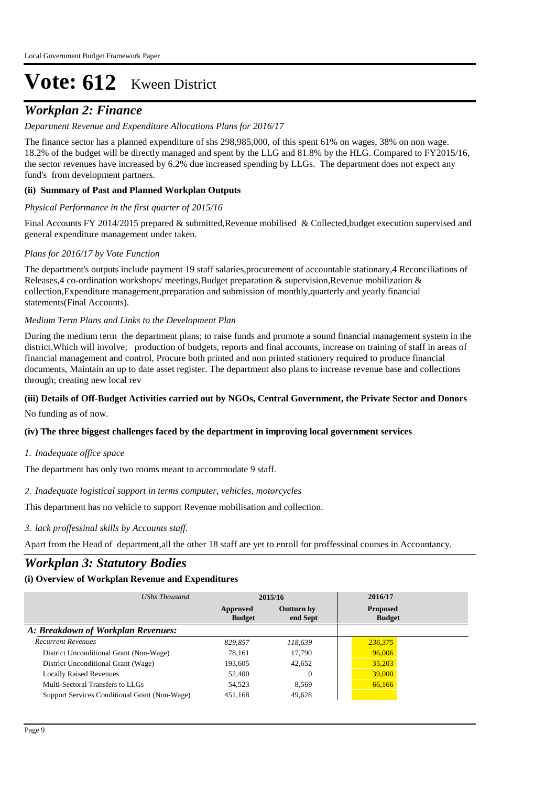# *Workplan 2: Finance*

## *Department Revenue and Expenditure Allocations Plans for 2016/17*

The finance sector has a planned expenditure of shs 298,985,000, of this spent 61% on wages, 38% on non wage. 18.2% of the budget will be directly managed and spent by the LLG and 81.8% by the HLG. Compared to FY2015/16, the sector revenues have increased by 6.2% due increased spending by LLGs. The department does not expect any fund's from development partners.

## **(ii) Summary of Past and Planned Workplan Outputs**

## *Physical Performance in the first quarter of 2015/16*

Final Accounts FY 2014/2015 prepared & submitted, Revenue mobilised & Collected, budget execution supervised and general expenditure management under taken.

## *Plans for 2016/17 by Vote Function*

The department's outputs include payment 19 staff salaries,procurement of accountable stationary,4 Reconciliations of Releases,4 co-ordination workshops/ meetings,Budget preparation & supervision,Revenue mobilization & collection,Expenditure management,preparation and submission of monthly,quarterly and yearly financial statements(Final Accounts).

## *Medium Term Plans and Links to the Development Plan*

During the medium term the department plans; to raise funds and promote a sound financial management system in the district.Which will involve; production of budgets, reports and final accounts, increase on training of staff in areas of financial management and control, Procure both printed and non printed stationery required to produce financial documents, Maintain an up to date asset register. The department also plans to increase revenue base and collections through; creating new local rev

## **(iii) Details of Off-Budget Activities carried out by NGOs, Central Government, the Private Sector and Donors**

No funding as of now.

## **(iv) The three biggest challenges faced by the department in improving local government services**

## *Inadequate office space 1.*

The department has only two rooms meant to accommodate 9 staff.

#### *Inadequate logistical support in terms computer, vehicles, motorcycles 2.*

This department has no vehicle to support Revenue mobilisation and collection.

## *lack proffessinal skills by Accounts staff. 3.*

Apart from the Head of department,all the other 18 staff are yet to enroll for proffessinal courses in Accountancy.

# *Workplan 3: Statutory Bodies*

| UShs Thousand                                 | 2015/16                   |                        | 2016/17                          |
|-----------------------------------------------|---------------------------|------------------------|----------------------------------|
|                                               | Approved<br><b>Budget</b> | Outturn by<br>end Sept | <b>Proposed</b><br><b>Budget</b> |
| A: Breakdown of Workplan Revenues:            |                           |                        |                                  |
| <b>Recurrent Revenues</b>                     | 829.857                   | 118,639                | 236,375                          |
| District Unconditional Grant (Non-Wage)       | 78,161                    | 17,790                 | 96,006                           |
| District Unconditional Grant (Wage)           | 193.605                   | 42.652                 | 35,203                           |
| <b>Locally Raised Revenues</b>                | 52,400                    | $\Omega$               | 39,000                           |
| Multi-Sectoral Transfers to LLGs              | 54,523                    | 8,569                  | 66,166                           |
| Support Services Conditional Grant (Non-Wage) | 451,168                   | 49,628                 |                                  |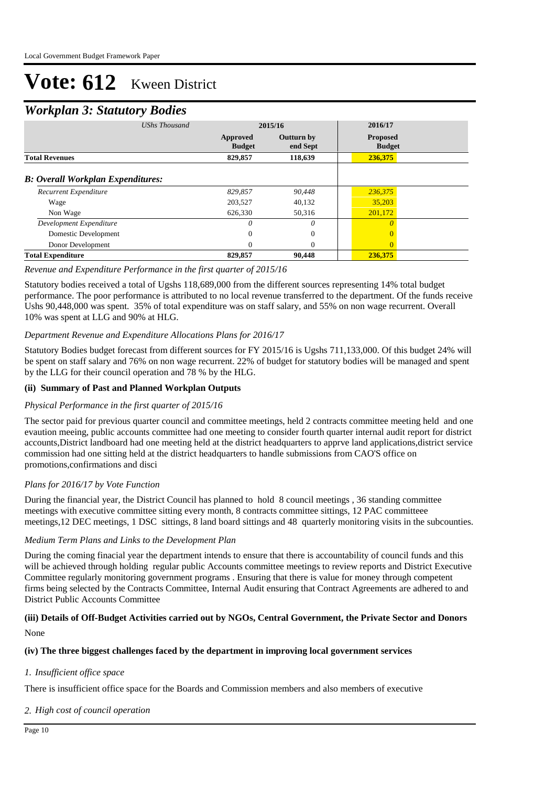# *Workplan 3: Statutory Bodies*

|                                          | ັ                    |                           |                               |                                  |  |
|------------------------------------------|----------------------|---------------------------|-------------------------------|----------------------------------|--|
|                                          | <b>UShs Thousand</b> |                           | 2015/16                       | 2016/17                          |  |
|                                          |                      | Approved<br><b>Budget</b> | <b>Outturn by</b><br>end Sept | <b>Proposed</b><br><b>Budget</b> |  |
| <b>Total Revenues</b>                    |                      | 829,857                   | 118,639                       | 236,375                          |  |
| <b>B:</b> Overall Workplan Expenditures: |                      |                           |                               |                                  |  |
| Recurrent Expenditure                    |                      | 829,857                   | 90,448                        | 236,375                          |  |
| Wage                                     |                      | 203,527                   | 40,132                        | 35,203                           |  |
| Non Wage                                 |                      | 626,330                   | 50,316                        | 201,172                          |  |
| Development Expenditure                  |                      | 0                         | $\theta$                      | $\theta$                         |  |
| Domestic Development                     |                      | 0                         | $\theta$                      | $\Omega$                         |  |
| Donor Development                        |                      | 0                         | $\theta$                      | $\Omega$                         |  |
| <b>Total Expenditure</b>                 |                      | 829,857                   | 90,448                        | 236,375                          |  |

## *Revenue and Expenditure Performance in the first quarter of 2015/16*

Statutory bodies received a total of Ugshs 118,689,000 from the different sources representing 14% total budget performance. The poor performance is attributed to no local revenue transferred to the department. Of the funds receive Ushs 90,448,000 was spent. 35% of total expenditure was on staff salary, and 55% on non wage recurrent. Overall 10% was spent at LLG and 90% at HLG.

## *Department Revenue and Expenditure Allocations Plans for 2016/17*

Statutory Bodies budget forecast from different sources for FY 2015/16 is Ugshs 711,133,000. Of this budget 24% will be spent on staff salary and 76% on non wage recurrent. 22% of budget for statutory bodies will be managed and spent by the LLG for their council operation and 78 % by the HLG.

## **(ii) Summary of Past and Planned Workplan Outputs**

## *Physical Performance in the first quarter of 2015/16*

The sector paid for previous quarter council and committee meetings, held 2 contracts committee meeting held and one evaution meeing, public accounts committee had one meeting to consider fourth quarter internal audit report for district accounts,District landboard had one meeting held at the district headquarters to apprve land applications,district service commission had one sitting held at the district headquarters to handle submissions from CAO'S office on promotions,confirmations and disci

## *Plans for 2016/17 by Vote Function*

During the financial year, the District Council has planned to hold 8 council meetings , 36 standing committee meetings with executive committee sitting every month, 8 contracts committee sittings, 12 PAC committeee meetings,12 DEC meetings, 1 DSC sittings, 8 land board sittings and 48 quarterly monitoring visits in the subcounties.

## *Medium Term Plans and Links to the Development Plan*

During the coming finacial year the department intends to ensure that there is accountability of council funds and this will be achieved through holding regular public Accounts committee meetings to review reports and District Executive Committee regularly monitoring government programs . Ensuring that there is value for money through competent firms being selected by the Contracts Committee, Internal Audit ensuring that Contract Agreements are adhered to and District Public Accounts Committee

## None **(iii) Details of Off-Budget Activities carried out by NGOs, Central Government, the Private Sector and Donors**

## **(iv) The three biggest challenges faced by the department in improving local government services**

## *Insufficient office space 1.*

There is insufficient office space for the Boards and Commission members and also members of executive

# *High cost of council operation 2.*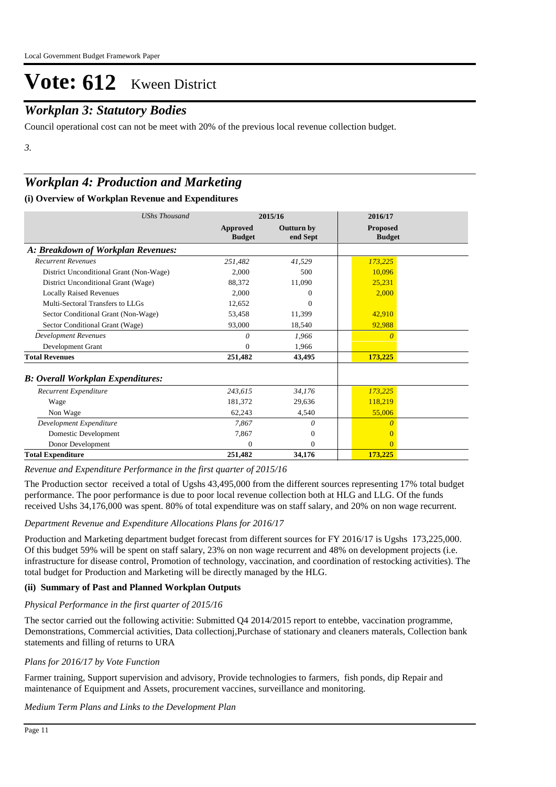# *Workplan 3: Statutory Bodies*

Council operational cost can not be meet with 20% of the previous local revenue collection budget.

*3.*

# *Workplan 4: Production and Marketing*

# **(i) Overview of Workplan Revenue and Expenditures**

| <b>UShs Thousand</b>                     | 2015/16                   |                               | 2016/17                          |
|------------------------------------------|---------------------------|-------------------------------|----------------------------------|
|                                          | Approved<br><b>Budget</b> | <b>Outturn by</b><br>end Sept | <b>Proposed</b><br><b>Budget</b> |
| A: Breakdown of Workplan Revenues:       |                           |                               |                                  |
| <b>Recurrent Revenues</b>                | 251,482                   | 41,529                        | 173,225                          |
| District Unconditional Grant (Non-Wage)  | 2,000                     | 500                           | 10.096                           |
| District Unconditional Grant (Wage)      | 88.372                    | 11,090                        | 25.231                           |
| <b>Locally Raised Revenues</b>           | 2.000                     | 0                             | 2,000                            |
| Multi-Sectoral Transfers to LLGs         | 12,652                    | $\Omega$                      |                                  |
| Sector Conditional Grant (Non-Wage)      | 53,458                    | 11,399                        | 42,910                           |
| Sector Conditional Grant (Wage)          | 93,000                    | 18,540                        | 92,988                           |
| <b>Development Revenues</b>              | $\theta$                  | 1,966                         | $\theta$                         |
| Development Grant                        | $\Omega$                  | 1,966                         |                                  |
| <b>Total Revenues</b>                    | 251,482                   | 43,495                        | 173,225                          |
| <b>B: Overall Workplan Expenditures:</b> |                           |                               |                                  |
| Recurrent Expenditure                    | 243,615                   | 34,176                        | 173,225                          |
| Wage                                     | 181,372                   | 29,636                        | 118,219                          |
| Non Wage                                 | 62.243                    | 4.540                         | 55,006                           |
| Development Expenditure                  | 7,867                     | 0                             | 0                                |
| Domestic Development                     | 7,867                     | $\boldsymbol{0}$              | 0                                |
| Donor Development                        | $\Omega$                  | $\mathbf{0}$                  | $\Omega$                         |
| <b>Total Expenditure</b>                 | 251,482                   | 34,176                        | 173,225                          |

*Revenue and Expenditure Performance in the first quarter of 2015/16*

The Production sector received a total of Ugshs 43,495,000 from the different sources representing 17% total budget performance. The poor performance is due to poor local revenue collection both at HLG and LLG. Of the funds received Ushs 34,176,000 was spent. 80% of total expenditure was on staff salary, and 20% on non wage recurrent.

# *Department Revenue and Expenditure Allocations Plans for 2016/17*

Production and Marketing department budget forecast from different sources for FY 2016/17 is Ugshs 173,225,000. Of this budget 59% will be spent on staff salary, 23% on non wage recurrent and 48% on development projects (i.e. infrastructure for disease control, Promotion of technology, vaccination, and coordination of restocking activities). The total budget for Production and Marketing will be directly managed by the HLG.

# **(ii) Summary of Past and Planned Workplan Outputs**

# *Physical Performance in the first quarter of 2015/16*

The sector carried out the following activitie: Submitted Q4 2014/2015 report to entebbe, vaccination programme, Demonstrations, Commercial activities, Data collectionj,Purchase of stationary and cleaners materals, Collection bank statements and filling of returns to URA

## *Plans for 2016/17 by Vote Function*

Farmer training, Support supervision and advisory, Provide technologies to farmers, fish ponds, dip Repair and maintenance of Equipment and Assets, procurement vaccines, surveillance and monitoring.

*Medium Term Plans and Links to the Development Plan*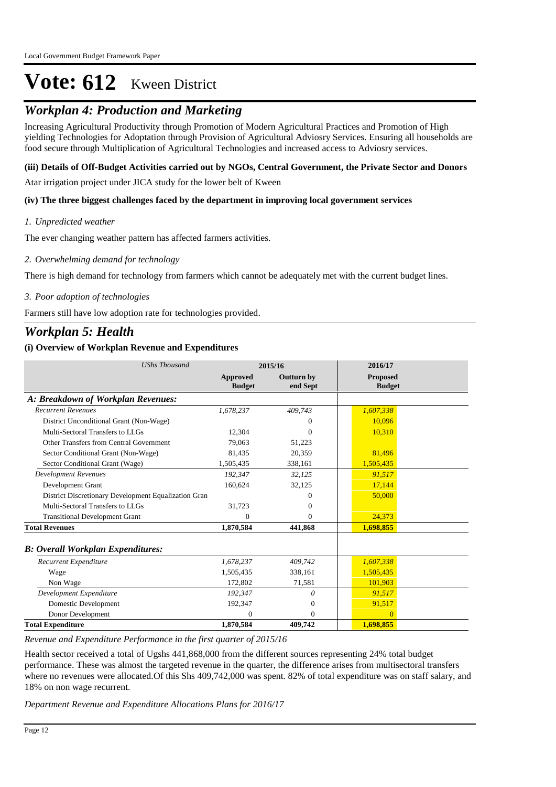# *Workplan 4: Production and Marketing*

Increasing Agricultural Productivity through Promotion of Modern Agricultural Practices and Promotion of High yielding Technologies for Adoptation through Provision of Agricultural Adviosry Services. Ensuring all households are food secure through Multiplication of Agricultural Technologies and increased access to Adviosry services.

## **(iii) Details of Off-Budget Activities carried out by NGOs, Central Government, the Private Sector and Donors**

Atar irrigation project under JICA study for the lower belt of Kween

## **(iv) The three biggest challenges faced by the department in improving local government services**

## *Unpredicted weather 1.*

The ever changing weather pattern has affected farmers activities.

#### *Overwhelming demand for technology 2.*

There is high demand for technology from farmers which cannot be adequately met with the current budget lines.

*Poor adoption of technologies 3.*

Farmers still have low adoption rate for technologies provided.

# *Workplan 5: Health*

## **(i) Overview of Workplan Revenue and Expenditures**

| <b>UShs Thousand</b>                                 |                                  | 2015/16                       | 2016/17                          |
|------------------------------------------------------|----------------------------------|-------------------------------|----------------------------------|
|                                                      | <b>Approved</b><br><b>Budget</b> | <b>Outturn by</b><br>end Sept | <b>Proposed</b><br><b>Budget</b> |
| A: Breakdown of Workplan Revenues:                   |                                  |                               |                                  |
| <b>Recurrent Revenues</b>                            | 1.678.237                        | 409,743                       | 1,607,338                        |
| District Unconditional Grant (Non-Wage)              |                                  | 0                             | 10.096                           |
| Multi-Sectoral Transfers to LLGs                     | 12,304                           | $\Omega$                      | 10,310                           |
| Other Transfers from Central Government              | 79.063                           | 51,223                        |                                  |
| Sector Conditional Grant (Non-Wage)                  | 81,435                           | 20,359                        | 81,496                           |
| Sector Conditional Grant (Wage)                      | 1,505,435                        | 338,161                       | 1,505,435                        |
| <b>Development Revenues</b>                          | 192,347                          | 32,125                        | 91,517                           |
| Development Grant                                    | 160,624                          | 32,125                        | 17,144                           |
| District Discretionary Development Equalization Gran |                                  | 0                             | 50,000                           |
| Multi-Sectoral Transfers to LLGs                     | 31,723                           | 0                             |                                  |
| <b>Transitional Development Grant</b>                | $\Omega$                         | $\Omega$                      | 24,373                           |
| <b>Total Revenues</b>                                | 1,870,584                        | 441.868                       | 1,698,855                        |
| <b>B: Overall Workplan Expenditures:</b>             |                                  |                               |                                  |
| Recurrent Expenditure                                | 1,678,237                        | 409,742                       | 1,607,338                        |
| Wage                                                 | 1,505,435                        | 338,161                       | 1,505,435                        |
| Non Wage                                             | 172,802                          | 71,581                        | 101,903                          |
| Development Expenditure                              | 192.347                          | 0                             | 91.517                           |
| Domestic Development                                 | 192,347                          | $\mathbf{0}$                  | 91,517                           |
| Donor Development                                    | $\Omega$                         | $\mathbf{0}$                  | $\overline{0}$                   |
| <b>Total Expenditure</b>                             | 1,870,584                        | 409,742                       | 1,698,855                        |

#### *Revenue and Expenditure Performance in the first quarter of 2015/16*

Health sector received a total of Ugshs 441,868,000 from the different sources representing 24% total budget performance. These was almost the targeted revenue in the quarter, the difference arises from multisectoral transfers where no revenues were allocated. Of this Shs 409,742,000 was spent. 82% of total expenditure was on staff salary, and 18% on non wage recurrent.

*Department Revenue and Expenditure Allocations Plans for 2016/17*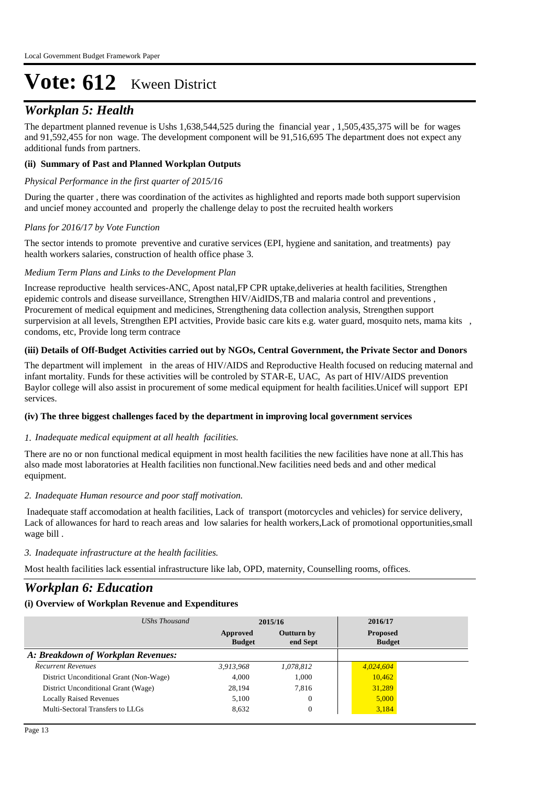# *Workplan 5: Health*

The department planned revenue is Ushs 1,638,544,525 during the financial year , 1,505,435,375 will be for wages and 91,592,455 for non wage. The development component will be 91,516,695 The department does not expect any additional funds from partners.

# **(ii) Summary of Past and Planned Workplan Outputs**

## *Physical Performance in the first quarter of 2015/16*

During the quarter , there was coordination of the activites as highlighted and reports made both support supervision and uncief money accounted and properly the challenge delay to post the recruited health workers

## *Plans for 2016/17 by Vote Function*

The sector intends to promote preventive and curative services (EPI, hygiene and sanitation, and treatments) pay health workers salaries, construction of health office phase 3.

## *Medium Term Plans and Links to the Development Plan*

Increase reproductive health services-ANC, Apost natal,FP CPR uptake,deliveries at health facilities, Strengthen epidemic controls and disease surveillance, Strengthen HIV/AidIDS,TB and malaria control and preventions, Procurement of medical equipment and medicines, Strengthening data collection analysis, Strengthen support surpervision at all levels, Strengthen EPI actvities, Provide basic care kits e.g. water guard, mosquito nets, mama kits , condoms, etc, Provide long term contrace

## **(iii) Details of Off-Budget Activities carried out by NGOs, Central Government, the Private Sector and Donors**

The department will implement in the areas of HIV/AIDS and Reproductive Health focused on reducing maternal and infant mortality. Funds for these activities will be controled by STAR-E, UAC, As part of HIV/AIDS prevention Baylor college will also assist in procurement of some medical equipment for health facilities.Unicef will support EPI services.

## **(iv) The three biggest challenges faced by the department in improving local government services**

## *Inadequate medical equipment at all health facilities. 1.*

There are no or non functional medical equipment in most health facilities the new facilities have none at all.This has also made most laboratories at Health facilities non functional.New facilities need beds and and other medical equipment.

## *Inadequate Human resource and poor staff motivation. 2.*

 Inadequate staff accomodation at health facilities, Lack of transport (motorcycles and vehicles) for service delivery, Lack of allowances for hard to reach areas and low salaries for health workers,Lack of promotional opportunities,small wage bill .

## *Inadequate infrastructure at the health facilities. 3.*

Most health facilities lack essential infrastructure like lab, OPD, maternity, Counselling rooms, offices.

# *Workplan 6: Education*

| UShs Thousand                           | 2015/16                   |                               | 2016/17                          |  |
|-----------------------------------------|---------------------------|-------------------------------|----------------------------------|--|
|                                         | Approved<br><b>Budget</b> | <b>Outturn by</b><br>end Sept | <b>Proposed</b><br><b>Budget</b> |  |
| A: Breakdown of Workplan Revenues:      |                           |                               |                                  |  |
| <b>Recurrent Revenues</b>               | 3.913.968                 | 1,078,812                     | 4,024,604                        |  |
| District Unconditional Grant (Non-Wage) | 4,000                     | 1.000                         | 10,462                           |  |
| District Unconditional Grant (Wage)     | 28,194                    | 7.816                         | 31,289                           |  |
| <b>Locally Raised Revenues</b>          | 5,100                     | 0                             | 5,000                            |  |
| Multi-Sectoral Transfers to LLGs        | 8,632                     | $\theta$                      | 3,184                            |  |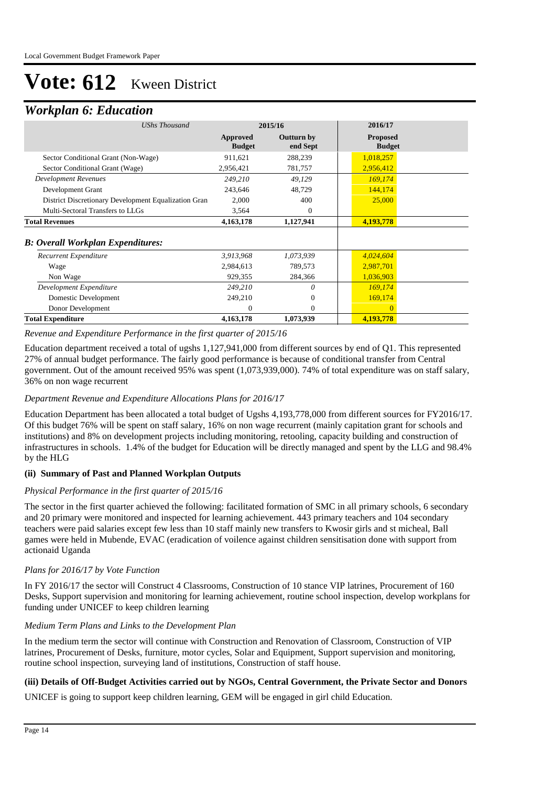# *Workplan 6: Education*

| <b>UShs Thousand</b>                                 | 2015/16                   |                        | 2016/17                          |
|------------------------------------------------------|---------------------------|------------------------|----------------------------------|
|                                                      | Approved<br><b>Budget</b> | Outturn by<br>end Sept | <b>Proposed</b><br><b>Budget</b> |
| Sector Conditional Grant (Non-Wage)                  | 911,621                   | 288,239                | 1,018,257                        |
| Sector Conditional Grant (Wage)                      | 2,956,421                 | 781,757                | 2,956,412                        |
| <b>Development Revenues</b>                          | 249,210                   | 49,129                 | 169.174                          |
| Development Grant                                    | 243,646                   | 48,729                 | 144,174                          |
| District Discretionary Development Equalization Gran | 2,000                     | 400                    | 25,000                           |
| Multi-Sectoral Transfers to LLGs                     | 3,564                     | $\Omega$               |                                  |
| <b>Total Revenues</b>                                | 4,163,178                 | 1,127,941              | 4,193,778                        |
| <b>B</b> : Overall Workplan Expenditures:            |                           |                        |                                  |
| Recurrent Expenditure                                | 3,913,968                 | 1,073,939              | 4,024,604                        |
| Wage                                                 | 2,984,613                 | 789,573                | 2,987,701                        |
| Non Wage                                             | 929,355                   | 284,366                | 1,036,903                        |
| Development Expenditure                              | 249,210                   | $\theta$               | 169,174                          |
| Domestic Development                                 | 249,210                   | $\mathbf{0}$           | 169,174                          |
| Donor Development                                    | $\Omega$                  | $\Omega$               | $\Omega$                         |
| <b>Total Expenditure</b>                             | 4,163,178                 | 1,073,939              | 4,193,778                        |

*Revenue and Expenditure Performance in the first quarter of 2015/16*

Education department received a total of ugshs 1,127,941,000 from different sources by end of Q1. This represented 27% of annual budget performance. The fairly good performance is because of conditional transfer from Central government. Out of the amount received 95% was spent (1,073,939,000). 74% of total expenditure was on staff salary, 36% on non wage recurrent

## *Department Revenue and Expenditure Allocations Plans for 2016/17*

Education Department has been allocated a total budget of Ugshs 4,193,778,000 from different sources for FY2016/17. Of this budget 76% will be spent on staff salary, 16% on non wage recurrent (mainly capitation grant for schools and institutions) and 8% on development projects including monitoring, retooling, capacity building and construction of infrastructures in schools. 1.4% of the budget for Education will be directly managed and spent by the LLG and 98.4% by the HLG

## **(ii) Summary of Past and Planned Workplan Outputs**

## *Physical Performance in the first quarter of 2015/16*

The sector in the first quarter achieved the following: facilitated formation of SMC in all primary schools, 6 secondary and 20 primary were monitored and inspected for learning achievement. 443 primary teachers and 104 secondary teachers were paid salaries except few less than 10 staff mainly new transfers to Kwosir girls and st micheal, Ball games were held in Mubende, EVAC (eradication of voilence against children sensitisation done with support from actionaid Uganda

# *Plans for 2016/17 by Vote Function*

In FY 2016/17 the sector will Construct 4 Classrooms, Construction of 10 stance VIP latrines, Procurement of 160 Desks, Support supervision and monitoring for learning achievement, routine school inspection, develop workplans for funding under UNICEF to keep children learning

## *Medium Term Plans and Links to the Development Plan*

In the medium term the sector will continue with Construction and Renovation of Classroom, Construction of VIP latrines, Procurement of Desks, furniture, motor cycles, Solar and Equipment, Support supervision and monitoring, routine school inspection, surveying land of institutions, Construction of staff house.

## **(iii) Details of Off-Budget Activities carried out by NGOs, Central Government, the Private Sector and Donors**

UNICEF is going to support keep children learning, GEM will be engaged in girl child Education.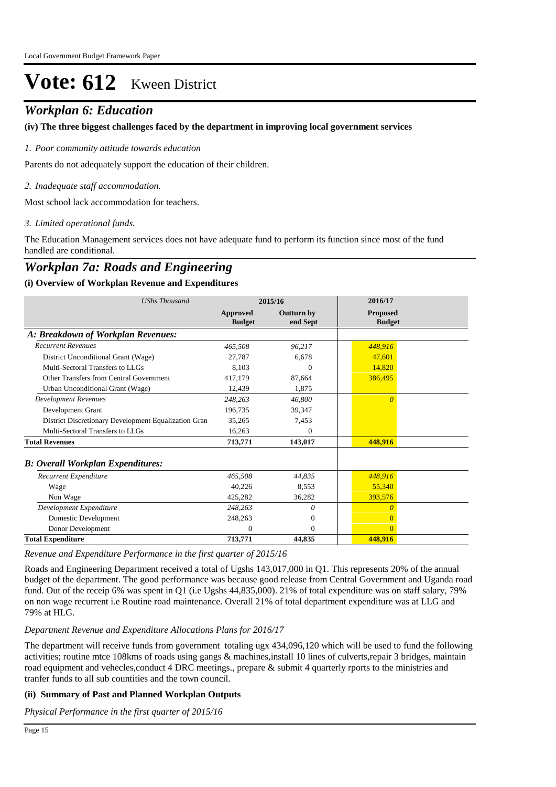# *Workplan 6: Education*

## **(iv) The three biggest challenges faced by the department in improving local government services**

*Poor community attitude towards education 1.*

Parents do not adequately support the education of their children.

*Inadequate staff accommodation. 2.*

Most school lack accommodation for teachers.

*Limited operational funds. 3.*

The Education Management services does not have adequate fund to perform its function since most of the fund handled are conditional.

# *Workplan 7a: Roads and Engineering*

# **(i) Overview of Workplan Revenue and Expenditures**

| <b>UShs Thousand</b>                                 |                           | 2015/16                       | 2016/17                          |  |
|------------------------------------------------------|---------------------------|-------------------------------|----------------------------------|--|
|                                                      | Approved<br><b>Budget</b> | <b>Outturn by</b><br>end Sept | <b>Proposed</b><br><b>Budget</b> |  |
| A: Breakdown of Workplan Revenues:                   |                           |                               |                                  |  |
| <b>Recurrent Revenues</b>                            | 465,508                   | 96,217                        | 448,916                          |  |
| District Unconditional Grant (Wage)                  | 27,787                    | 6,678                         | 47,601                           |  |
| Multi-Sectoral Transfers to LLGs                     | 8.103                     | $\Omega$                      | 14,820                           |  |
| Other Transfers from Central Government              | 417.179                   | 87,664                        | 386,495                          |  |
| Urban Unconditional Grant (Wage)                     | 12,439                    | 1,875                         |                                  |  |
| <b>Development Revenues</b>                          | 248,263                   | 46,800                        | $\Omega$                         |  |
| Development Grant                                    | 196,735                   | 39,347                        |                                  |  |
| District Discretionary Development Equalization Gran | 35,265                    | 7,453                         |                                  |  |
| Multi-Sectoral Transfers to LLGs                     | 16,263                    | $\Omega$                      |                                  |  |
| <b>Total Revenues</b>                                | 713,771                   | 143,017                       | 448,916                          |  |
| <b>B: Overall Workplan Expenditures:</b>             |                           |                               |                                  |  |
| Recurrent Expenditure                                | 465,508                   | 44.835                        | 448,916                          |  |
| Wage                                                 | 40,226                    | 8,553                         | 55,340                           |  |
| Non Wage                                             | 425,282                   | 36,282                        | 393,576                          |  |
| Development Expenditure                              | 248,263                   | 0                             | n                                |  |
| Domestic Development                                 | 248,263                   | $\mathbf{0}$                  | $\Omega$                         |  |
| Donor Development                                    | 0                         | $\mathbf{0}$                  | $\Omega$                         |  |
| <b>Total Expenditure</b>                             | 713,771                   | 44,835                        | 448,916                          |  |

*Revenue and Expenditure Performance in the first quarter of 2015/16*

Roads and Engineering Department received a total of Ugshs 143,017,000 in Q1. This represents 20% of the annual budget of the department. The good performance was because good release from Central Government and Uganda road fund. Out of the receip 6% was spent in Q1 (i.e Ugshs 44,835,000). 21% of total expenditure was on staff salary, 79% on non wage recurrent i.e Routine road maintenance. Overall 21% of total department expenditure was at LLG and 79% at HLG.

## *Department Revenue and Expenditure Allocations Plans for 2016/17*

The department will receive funds from government totaling ugx 434,096,120 which will be used to fund the following activities; routine mtce 108kms of roads using gangs & machines,install 10 lines of culverts,repair 3 bridges, maintain road equipment and vehecles,conduct 4 DRC meetings., prepare & submit 4 quarterly rports to the ministries and tranfer funds to all sub countities and the town council.

# **(ii) Summary of Past and Planned Workplan Outputs**

*Physical Performance in the first quarter of 2015/16*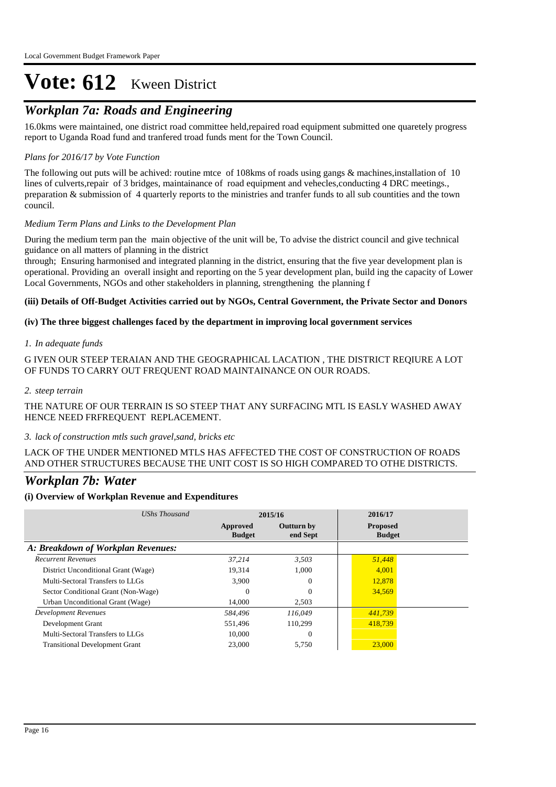# **Workplan 7a: Roads and Engineering**

16.0kms were maintained, one district road committee held,repaired road equipment submitted one quaretely progress report to Uganda Road fund and tranfered troad funds ment for the Town Council.

# *Plans for 2016/17 by Vote Function*

The following out puts will be achived: routine mtce of 108kms of roads using gangs & machines,installation of 10 lines of culverts,repair of 3 bridges, maintainance of road equipment and vehecles,conducting 4 DRC meetings., preparation & submission of 4 quarterly reports to the ministries and tranfer funds to all sub countities and the town council.

## *Medium Term Plans and Links to the Development Plan*

During the medium term pan the main objective of the unit will be, To advise the district council and give technical guidance on all matters of planning in the district

through; Ensuring harmonised and integrated planning in the district, ensuring that the five year development plan is operational. Providing an overall insight and reporting on the 5 year development plan, build ing the capacity of Lower Local Governments, NGOs and other stakeholders in planning, strengthening the planning f

## **(iii) Details of Off-Budget Activities carried out by NGOs, Central Government, the Private Sector and Donors**

#### **(iv) The three biggest challenges faced by the department in improving local government services**

#### *In adequate funds 1.*

G IVEN OUR STEEP TERAIAN AND THE GEOGRAPHICAL LACATION , THE DISTRICT REQIURE A LOT OF FUNDS TO CARRY OUT FREQUENT ROAD MAINTAINANCE ON OUR ROADS.

*steep terrain 2.*

THE NATURE OF OUR TERRAIN IS SO STEEP THAT ANY SURFACING MTL IS EASLY WASHED AWAY HENCE NEED FRFREQUENT REPLACEMENT.

## *lack of construction mtls such gravel,sand, bricks etc 3.*

LACK OF THE UNDER MENTIONED MTLS HAS AFFECTED THE COST OF CONSTRUCTION OF ROADS AND OTHER STRUCTURES BECAUSE THE UNIT COST IS SO HIGH COMPARED TO OTHE DISTRICTS.

# *Workplan 7b: Water*

| <b>UShs Thousand</b>                  | 2015/16                   |                               | 2016/17                          |  |
|---------------------------------------|---------------------------|-------------------------------|----------------------------------|--|
|                                       | Approved<br><b>Budget</b> | <b>Outturn by</b><br>end Sept | <b>Proposed</b><br><b>Budget</b> |  |
| A: Breakdown of Workplan Revenues:    |                           |                               |                                  |  |
| <b>Recurrent Revenues</b>             | 37.214                    | 3,503                         | 51,448                           |  |
| District Unconditional Grant (Wage)   | 19.314                    | 1,000                         | 4,001                            |  |
| Multi-Sectoral Transfers to LLGs      | 3.900                     | $\Omega$                      | 12,878                           |  |
| Sector Conditional Grant (Non-Wage)   | $\left($                  | $^{0}$                        | 34,569                           |  |
| Urban Unconditional Grant (Wage)      | 14,000                    | 2,503                         |                                  |  |
| Development Revenues                  | 584.496                   | 116.049                       | 441,739                          |  |
| Development Grant                     | 551.496                   | 110.299                       | 418,739                          |  |
| Multi-Sectoral Transfers to LLGs      | 10,000                    | $^{(1)}$                      |                                  |  |
| <b>Transitional Development Grant</b> | 23,000                    | 5,750                         | 23,000                           |  |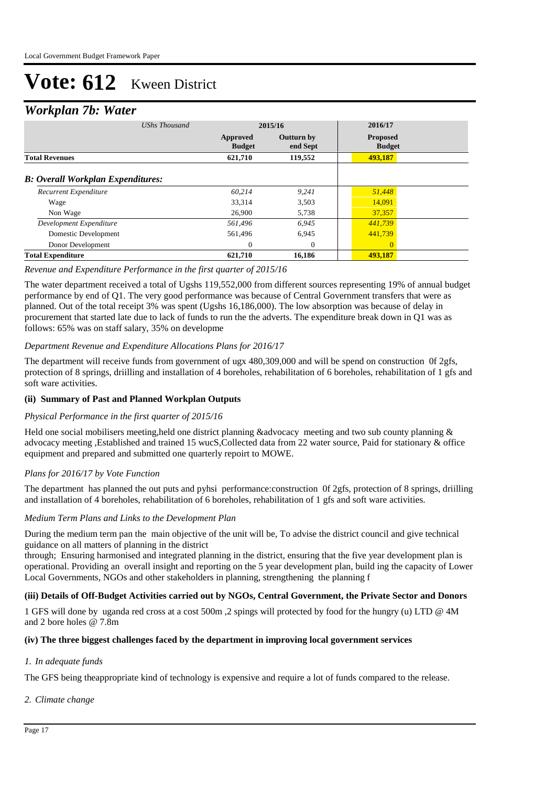# *Workplan 7b: Water*

| UShs Thousand                            | 2015/16                   |                               | 2016/17                          |  |
|------------------------------------------|---------------------------|-------------------------------|----------------------------------|--|
|                                          | Approved<br><b>Budget</b> | <b>Outturn by</b><br>end Sept | <b>Proposed</b><br><b>Budget</b> |  |
| <b>Total Revenues</b>                    | 621,710                   | 119,552                       | 493,187                          |  |
| <b>B: Overall Workplan Expenditures:</b> |                           |                               |                                  |  |
| Recurrent Expenditure                    | 60,214                    | 9,241                         | 51,448                           |  |
| Wage                                     | 33.314                    | 3,503                         | 14,091                           |  |
| Non Wage                                 | 26,900                    | 5,738                         | 37,357                           |  |
| Development Expenditure                  | 561,496                   | 6,945                         | 441,739                          |  |
| Domestic Development                     | 561,496                   | 6,945                         | 441,739                          |  |
| Donor Development                        | $\Omega$                  | $\Omega$                      | $\Omega$                         |  |
| <b>Total Expenditure</b>                 | 621,710                   | 16,186                        | 493,187                          |  |

## *Revenue and Expenditure Performance in the first quarter of 2015/16*

The water department received a total of Ugshs 119,552,000 from different sources representing 19% of annual budget performance by end of Q1. The very good performance was because of Central Government transfers that were as planned. Out of the total receipt 3% was spent (Ugshs 16,186,000). The low absorption was because of delay in procurement that started late due to lack of funds to run the the adverts. The expenditure break down in Q1 was as follows: 65% was on staff salary, 35% on developme

## *Department Revenue and Expenditure Allocations Plans for 2016/17*

The department will receive funds from government of ugx 480,309,000 and will be spend on construction 0f 2gfs, protection of 8 springs, driilling and installation of 4 boreholes, rehabilitation of 6 boreholes, rehabilitation of 1 gfs and soft ware activities.

# **(ii) Summary of Past and Planned Workplan Outputs**

## *Physical Performance in the first quarter of 2015/16*

Held one social mobilisers meeting,held one district planning &advocacy meeting and two sub county planning & advocacy meeting ,Established and trained 15 wucS,Collected data from 22 water source, Paid for stationary & office equipment and prepared and submitted one quarterly repoirt to MOWE.

## *Plans for 2016/17 by Vote Function*

The department has planned the out puts and pyhsi performance:construction 0f 2gfs, protection of 8 springs, driilling and installation of 4 boreholes, rehabilitation of 6 boreholes, rehabilitation of 1 gfs and soft ware activities.

## *Medium Term Plans and Links to the Development Plan*

During the medium term pan the main objective of the unit will be, To advise the district council and give technical guidance on all matters of planning in the district

through; Ensuring harmonised and integrated planning in the district, ensuring that the five year development plan is operational. Providing an overall insight and reporting on the 5 year development plan, build ing the capacity of Lower Local Governments, NGOs and other stakeholders in planning, strengthening the planning f

# **(iii) Details of Off-Budget Activities carried out by NGOs, Central Government, the Private Sector and Donors**

1 GFS will done by uganda red cross at a cost 500m ,2 spings will protected by food for the hungry (u) LTD @ 4M and 2 bore holes @ 7.8m

## **(iv) The three biggest challenges faced by the department in improving local government services**

## *In adequate funds 1.*

The GFS being theappropriate kind of technology is expensive and require a lot of funds compared to the release.

*Climate change 2.*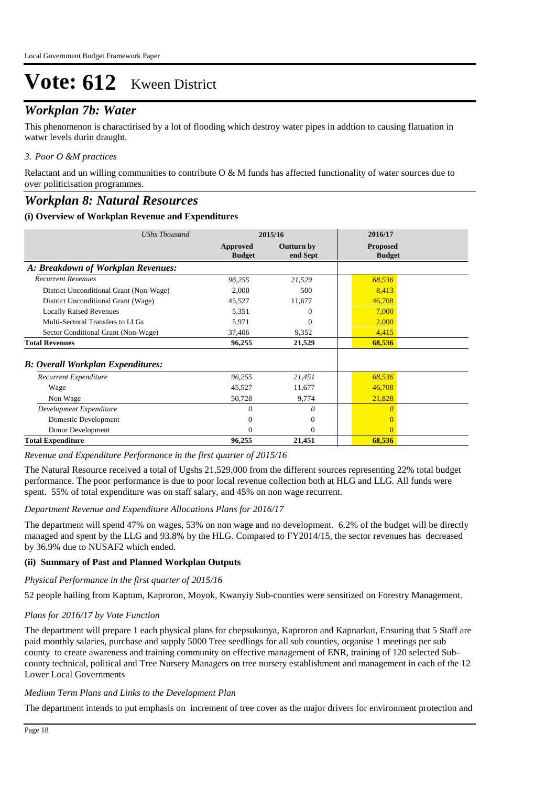# *Workplan 7b: Water*

This phenomenon is charactirised by a lot of flooding which destroy water pipes in addtion to causing flatuation in watwr levels durin draught.

## *Poor O &M practices 3.*

Relactant and un willing communities to contribute O & M funds has affected functionality of water sources due to over politicisation programmes.

# *Workplan 8: Natural Resources*

## **(i) Overview of Workplan Revenue and Expenditures**

| <b>UShs Thousand</b>                     | 2015/16                   |                        | 2016/17                          |  |
|------------------------------------------|---------------------------|------------------------|----------------------------------|--|
|                                          | Approved<br><b>Budget</b> | Outturn by<br>end Sept | <b>Proposed</b><br><b>Budget</b> |  |
| A: Breakdown of Workplan Revenues:       |                           |                        |                                  |  |
| <b>Recurrent Revenues</b>                | 96,255                    | 21,529                 | 68,536                           |  |
| District Unconditional Grant (Non-Wage)  | 2,000                     | 500                    | 8,413                            |  |
| District Unconditional Grant (Wage)      | 45,527                    | 11,677                 | 46,708                           |  |
| <b>Locally Raised Revenues</b>           | 5,351                     | $^{(1)}$               | 7,000                            |  |
| Multi-Sectoral Transfers to LLGs         | 5,971                     | $\Omega$               | 2,000                            |  |
| Sector Conditional Grant (Non-Wage)      | 37,406                    | 9,352                  | 4,415                            |  |
| <b>Total Revenues</b>                    | 96,255                    | 21,529                 | 68,536                           |  |
| <b>B: Overall Workplan Expenditures:</b> |                           |                        |                                  |  |
| Recurrent Expenditure                    | 96,255                    | 21,451                 | 68,536                           |  |
| Wage                                     | 45,527                    | 11,677                 | 46,708                           |  |
| Non Wage                                 | 50,728                    | 9,774                  | 21,828                           |  |
| Development Expenditure                  | $\Omega$                  | 0                      | $\theta$                         |  |
| Domestic Development                     | 0                         | $\mathbf{0}$           |                                  |  |
| Donor Development                        | 0                         | 0                      | $\Omega$                         |  |
| <b>Total Expenditure</b>                 | 96,255                    | 21,451                 | 68,536                           |  |

*Revenue and Expenditure Performance in the first quarter of 2015/16*

The Natural Resource received a total of Ugshs 21,529,000 from the different sources representing 22% total budget performance. The poor performance is due to poor local revenue collection both at HLG and LLG. All funds were spent. 55% of total expenditure was on staff salary, and 45% on non wage recurrent.

## *Department Revenue and Expenditure Allocations Plans for 2016/17*

The department will spend 47% on wages, 53% on non wage and no development. 6.2% of the budget will be directly managed and spent by the LLG and 93.8% by the HLG. Compared to FY2014/15, the sector revenues has decreased by 36.9% due to NUSAF2 which ended.

## **(ii) Summary of Past and Planned Workplan Outputs**

## *Physical Performance in the first quarter of 2015/16*

52 people hailing from Kaptum, Kaproron, Moyok, Kwanyiy Sub-counties were sensitized on Forestry Management.

## *Plans for 2016/17 by Vote Function*

The department will prepare 1 each physical plans for chepsukunya, Kaproron and Kapnarkut, Ensuring that 5 Staff are paid monthly salaries, purchase and supply 5000 Tree seedlings for all sub counties, organise 1 meetings per sub county to create awareness and training community on effective management of ENR, training of 120 selected Subcounty technical, political and Tree Nursery Managers on tree nursery establishment and management in each of the 12 Lower Local Governments

## *Medium Term Plans and Links to the Development Plan*

The department intends to put emphasis on increment of tree cover as the major drivers for environment protection and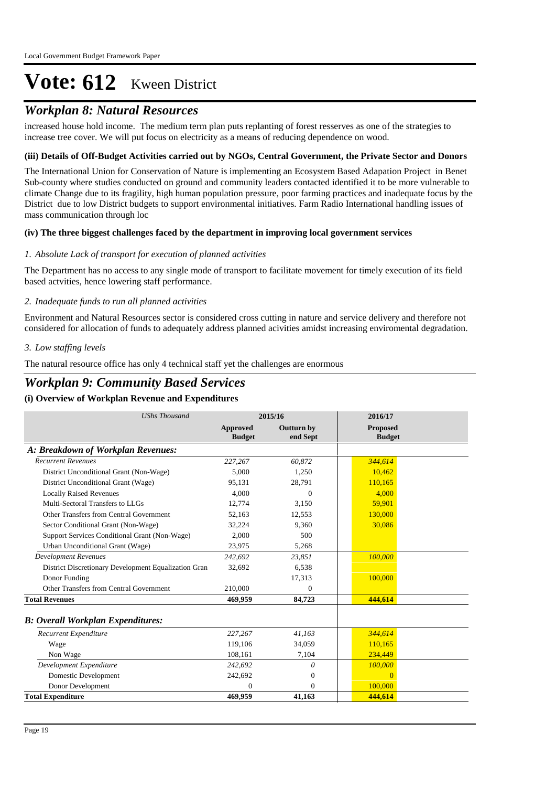# *Workplan 8: Natural Resources*

increased house hold income. The medium term plan puts replanting of forest resserves as one of the strategies to increase tree cover. We will put focus on electricity as a means of reducing dependence on wood.

## **(iii) Details of Off-Budget Activities carried out by NGOs, Central Government, the Private Sector and Donors**

The International Union for Conservation of Nature is implementing an Ecosystem Based Adapation Project in Benet Sub-county where studies conducted on ground and community leaders contacted identified it to be more vulnerable to climate Change due to its fragility, high human population pressure, poor farming practices and inadequate focus by the District due to low District budgets to support environmental initiatives. Farm Radio International handling issues of mass communication through loc

#### **(iv) The three biggest challenges faced by the department in improving local government services**

#### *Absolute Lack of transport for execution of planned activities 1.*

The Department has no access to any single mode of transport to facilitate movement for timely execution of its field based actvities, hence lowering staff performance.

#### *Inadequate funds to run all planned activities 2.*

Environment and Natural Resources sector is considered cross cutting in nature and service delivery and therefore not considered for allocation of funds to adequately address planned acivities amidst increasing enviromental degradation.

#### *Low staffing levels 3.*

The natural resource office has only 4 technical staff yet the challenges are enormous

# *Workplan 9: Community Based Services*

| <b>UShs Thousand</b>                                 | 2015/16                          |                               | 2016/17                          |
|------------------------------------------------------|----------------------------------|-------------------------------|----------------------------------|
|                                                      | <b>Approved</b><br><b>Budget</b> | <b>Outturn by</b><br>end Sept | <b>Proposed</b><br><b>Budget</b> |
| A: Breakdown of Workplan Revenues:                   |                                  |                               |                                  |
| <b>Recurrent Revenues</b>                            | 227,267                          | 60.872                        | 344,614                          |
| District Unconditional Grant (Non-Wage)              | 5.000                            | 1,250                         | 10.462                           |
| District Unconditional Grant (Wage)                  | 95,131                           | 28,791                        | 110,165                          |
| <b>Locally Raised Revenues</b>                       | 4.000                            | 0                             | 4,000                            |
| Multi-Sectoral Transfers to LLGs                     | 12,774                           | 3,150                         | 59,901                           |
| Other Transfers from Central Government              | 52,163                           | 12,553                        | 130,000                          |
| Sector Conditional Grant (Non-Wage)                  | 32,224                           | 9,360                         | 30,086                           |
| Support Services Conditional Grant (Non-Wage)        | 2.000                            | 500                           |                                  |
| Urban Unconditional Grant (Wage)                     | 23,975                           | 5,268                         |                                  |
| <b>Development Revenues</b>                          | 242.692                          | 23,851                        | 100,000                          |
| District Discretionary Development Equalization Gran | 32,692                           | 6,538                         |                                  |
| Donor Funding                                        |                                  | 17,313                        | 100,000                          |
| Other Transfers from Central Government              | 210,000                          | $\Omega$                      |                                  |
| <b>Total Revenues</b>                                | 469,959                          | 84,723                        | 444,614                          |
| <b>B: Overall Workplan Expenditures:</b>             |                                  |                               |                                  |
| Recurrent Expenditure                                | 227,267                          | 41,163                        | 344,614                          |
| Wage                                                 | 119,106                          | 34,059                        | 110,165                          |
| Non Wage                                             | 108,161                          | 7,104                         | 234,449                          |
| Development Expenditure                              | 242,692                          | 0                             | 100,000                          |
| Domestic Development                                 | 242,692                          | $\boldsymbol{0}$              | $\Omega$                         |
| Donor Development                                    | $\Omega$                         | $\Omega$                      | 100,000                          |
| <b>Total Expenditure</b>                             | 469,959                          | 41,163                        | 444,614                          |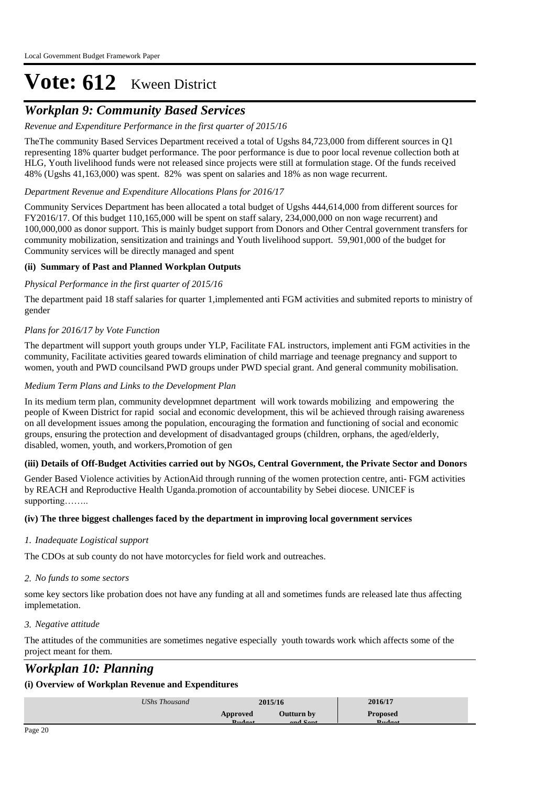# *Workplan 9: Community Based Services*

## *Revenue and Expenditure Performance in the first quarter of 2015/16*

TheThe community Based Services Department received a total of Ugshs 84,723,000 from different sources in Q1 representing 18% quarter budget performance. The poor performance is due to poor local revenue collection both at HLG, Youth livelihood funds were not released since projects were still at formulation stage. Of the funds received 48% (Ugshs 41,163,000) was spent. 82% was spent on salaries and 18% as non wage recurrent.

#### *Department Revenue and Expenditure Allocations Plans for 2016/17*

Community Services Department has been allocated a total budget of Ugshs 444,614,000 from different sources for FY2016/17. Of this budget 110,165,000 will be spent on staff salary, 234,000,000 on non wage recurrent) and 100,000,000 as donor support. This is mainly budget support from Donors and Other Central government transfers for community mobilization, sensitization and trainings and Youth livelihood support. 59,901,000 of the budget for Community services will be directly managed and spent

## **(ii) Summary of Past and Planned Workplan Outputs**

## *Physical Performance in the first quarter of 2015/16*

The department paid 18 staff salaries for quarter 1,implemented anti FGM activities and submited reports to ministry of gender

## *Plans for 2016/17 by Vote Function*

The department will support youth groups under YLP, Facilitate FAL instructors, implement anti FGM activities in the community, Facilitate activities geared towards elimination of child marriage and teenage pregnancy and support to women, youth and PWD councilsand PWD groups under PWD special grant. And general community mobilisation.

## *Medium Term Plans and Links to the Development Plan*

In its medium term plan, community developmnet department will work towards mobilizing and empowering the people of Kween District for rapid social and economic development, this wil be achieved through raising awareness on all development issues among the population, encouraging the formation and functioning of social and economic groups, ensuring the protection and development of disadvantaged groups (children, orphans, the aged/elderly, disabled, women, youth, and workers,Promotion of gen

## **(iii) Details of Off-Budget Activities carried out by NGOs, Central Government, the Private Sector and Donors**

Gender Based Violence activities by ActionAid through running of the women protection centre, anti- FGM activities by REACH and Reproductive Health Uganda.promotion of accountability by Sebei diocese. UNICEF is supporting……..

## **(iv) The three biggest challenges faced by the department in improving local government services**

## *Inadequate Logistical support 1.*

The CDOs at sub county do not have motorcycles for field work and outreaches.

## *No funds to some sectors 2.*

some key sectors like probation does not have any funding at all and sometimes funds are released late thus affecting implemetation.

## *Negative attitude 3.*

The attitudes of the communities are sometimes negative especially youth towards work which affects some of the project meant for them.

# *Workplan 10: Planning*

| UShs Thousand | 2015/16      | 2016/17                                                         |
|---------------|--------------|-----------------------------------------------------------------|
| Approved      | Outturn by . | <b>Proposed</b>                                                 |
| <b>Rudget</b> | and Cant     | $\mathbf{p}_{\mathbf{u}} \mathbf{d}_{\alpha \alpha} \mathbf{f}$ |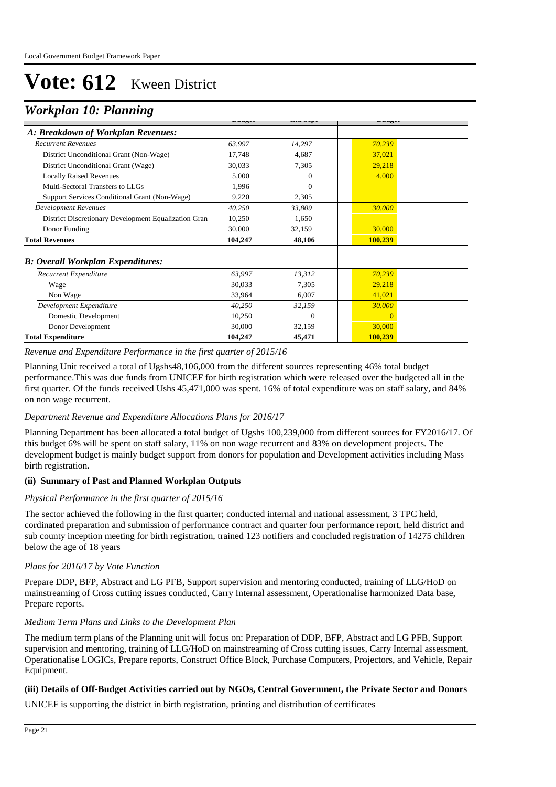# *Workplan 10: Planning*

|                                                      | Duuget  | Uliu JUpi    | Duuget  |  |
|------------------------------------------------------|---------|--------------|---------|--|
| A: Breakdown of Workplan Revenues:                   |         |              |         |  |
| <b>Recurrent Revenues</b>                            | 63,997  | 14,297       | 70,239  |  |
| District Unconditional Grant (Non-Wage)              | 17,748  | 4,687        | 37,021  |  |
| District Unconditional Grant (Wage)                  | 30,033  | 7,305        | 29,218  |  |
| <b>Locally Raised Revenues</b>                       | 5,000   | $^{(1)}$     | 4,000   |  |
| Multi-Sectoral Transfers to LLGs                     | 1,996   | $^{(1)}$     |         |  |
| Support Services Conditional Grant (Non-Wage)        | 9,220   | 2,305        |         |  |
| <b>Development Revenues</b>                          | 40,250  | 33,809       | 30,000  |  |
| District Discretionary Development Equalization Gran | 10,250  | 1,650        |         |  |
| Donor Funding                                        | 30,000  | 32,159       | 30,000  |  |
| <b>Total Revenues</b>                                | 104,247 | 48,106       | 100,239 |  |
|                                                      |         |              |         |  |
| <b>B: Overall Workplan Expenditures:</b>             |         |              |         |  |
| Recurrent Expenditure                                | 63,997  | 13,312       | 70,239  |  |
| Wage                                                 | 30,033  | 7,305        | 29,218  |  |
| Non Wage                                             | 33,964  | 6,007        | 41,021  |  |
| Development Expenditure                              | 40,250  | 32,159       | 30,000  |  |
| Domestic Development                                 | 10,250  | $\mathbf{0}$ |         |  |
| Donor Development                                    | 30,000  | 32,159       | 30,000  |  |
| <b>Total Expenditure</b>                             | 104,247 | 45,471       | 100,239 |  |

*Revenue and Expenditure Performance in the first quarter of 2015/16*

Planning Unit received a total of Ugshs48,106,000 from the different sources representing 46% total budget performance.This was due funds from UNICEF for birth registration which were released over the budgeted all in the first quarter. Of the funds received Ushs 45,471,000 was spent. 16% of total expenditure was on staff salary, and 84% on non wage recurrent.

## *Department Revenue and Expenditure Allocations Plans for 2016/17*

Planning Department has been allocated a total budget of Ugshs 100,239,000 from different sources for FY2016/17. Of this budget 6% will be spent on staff salary, 11% on non wage recurrent and 83% on development projects. The development budget is mainly budget support from donors for population and Development activities including Mass birth registration.

## **(ii) Summary of Past and Planned Workplan Outputs**

## *Physical Performance in the first quarter of 2015/16*

The sector achieved the following in the first quarter; conducted internal and national assessment, 3 TPC held, cordinated preparation and submission of performance contract and quarter four performance report, held district and sub county inception meeting for birth registration, trained 123 notifiers and concluded registration of 14275 children below the age of 18 years

## *Plans for 2016/17 by Vote Function*

Prepare DDP, BFP, Abstract and LG PFB, Support supervision and mentoring conducted, training of LLG/HoD on mainstreaming of Cross cutting issues conducted, Carry Internal assessment, Operationalise harmonized Data base, Prepare reports.

#### *Medium Term Plans and Links to the Development Plan*

The medium term plans of the Planning unit will focus on: Preparation of DDP, BFP, Abstract and LG PFB, Support supervision and mentoring, training of LLG/HoD on mainstreaming of Cross cutting issues, Carry Internal assessment, Operationalise LOGICs, Prepare reports, Construct Office Block, Purchase Computers, Projectors, and Vehicle, Repair Equipment.

## **(iii) Details of Off-Budget Activities carried out by NGOs, Central Government, the Private Sector and Donors**

UNICEF is supporting the district in birth registration, printing and distribution of certificates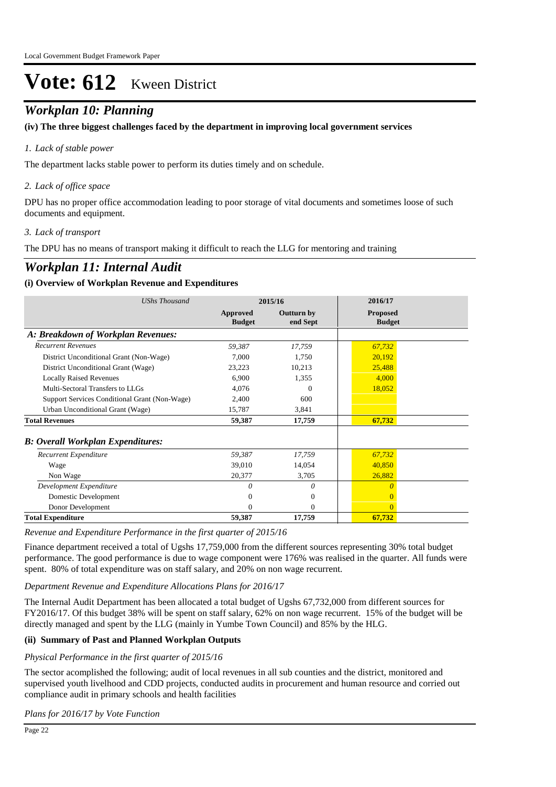# *Workplan 10: Planning*

**(iv) The three biggest challenges faced by the department in improving local government services**

# *Lack of stable power 1.*

The department lacks stable power to perform its duties timely and on schedule.

# *Lack of office space 2.*

DPU has no proper office accommodation leading to poor storage of vital documents and sometimes loose of such documents and equipment.

# *Lack of transport 3.*

The DPU has no means of transport making it difficult to reach the LLG for mentoring and training

# *Workplan 11: Internal Audit*

# **(i) Overview of Workplan Revenue and Expenditures**

| <b>UShs Thousand</b>                          | 2015/16                   |                               | 2016/17                          |  |
|-----------------------------------------------|---------------------------|-------------------------------|----------------------------------|--|
|                                               | Approved<br><b>Budget</b> | <b>Outturn by</b><br>end Sept | <b>Proposed</b><br><b>Budget</b> |  |
| A: Breakdown of Workplan Revenues:            |                           |                               |                                  |  |
| <b>Recurrent Revenues</b>                     | 59,387                    | 17,759                        | 67,732                           |  |
| District Unconditional Grant (Non-Wage)       | 7,000                     | 1,750                         | 20,192                           |  |
| District Unconditional Grant (Wage)           | 23,223                    | 10,213                        | 25,488                           |  |
| <b>Locally Raised Revenues</b>                | 6,900                     | 1,355                         | 4,000                            |  |
| Multi-Sectoral Transfers to LLGs              | 4,076                     | $\Omega$                      | 18,052                           |  |
| Support Services Conditional Grant (Non-Wage) | 2,400                     | 600                           |                                  |  |
| Urban Unconditional Grant (Wage)              | 15,787                    | 3,841                         |                                  |  |
| <b>Total Revenues</b>                         | 59,387                    | 17,759                        | 67,732                           |  |
| <b>B: Overall Workplan Expenditures:</b>      |                           |                               |                                  |  |
| Recurrent Expenditure                         | 59,387                    | 17,759                        | 67,732                           |  |
| Wage                                          | 39,010                    | 14,054                        | 40,850                           |  |
| Non Wage                                      | 20,377                    | 3,705                         | 26,882                           |  |
| Development Expenditure                       | $\Omega$                  | 0                             | O                                |  |
| Domestic Development                          | 0                         | 0                             |                                  |  |
| Donor Development                             | 0                         | $\Omega$                      | $\Omega$                         |  |
| <b>Total Expenditure</b>                      | 59,387                    | 17,759                        | 67,732                           |  |

*Revenue and Expenditure Performance in the first quarter of 2015/16*

Finance department received a total of Ugshs 17,759,000 from the different sources representing 30% total budget performance. The good performance is due to wage component were 176% was realised in the quarter. All funds were spent. 80% of total expenditure was on staff salary, and 20% on non wage recurrent.

## *Department Revenue and Expenditure Allocations Plans for 2016/17*

The Internal Audit Department has been allocated a total budget of Ugshs 67,732,000 from different sources for FY2016/17. Of this budget 38% will be spent on staff salary, 62% on non wage recurrent. 15% of the budget will be directly managed and spent by the LLG (mainly in Yumbe Town Council) and 85% by the HLG.

# **(ii) Summary of Past and Planned Workplan Outputs**

# *Physical Performance in the first quarter of 2015/16*

The sector acomplished the following; audit of local revenues in all sub counties and the district, monitored and supervised youth livelhood and CDD projects, conducted audits in procurement and human resource and corried out compliance audit in primary schools and health facilities

# *Plans for 2016/17 by Vote Function*